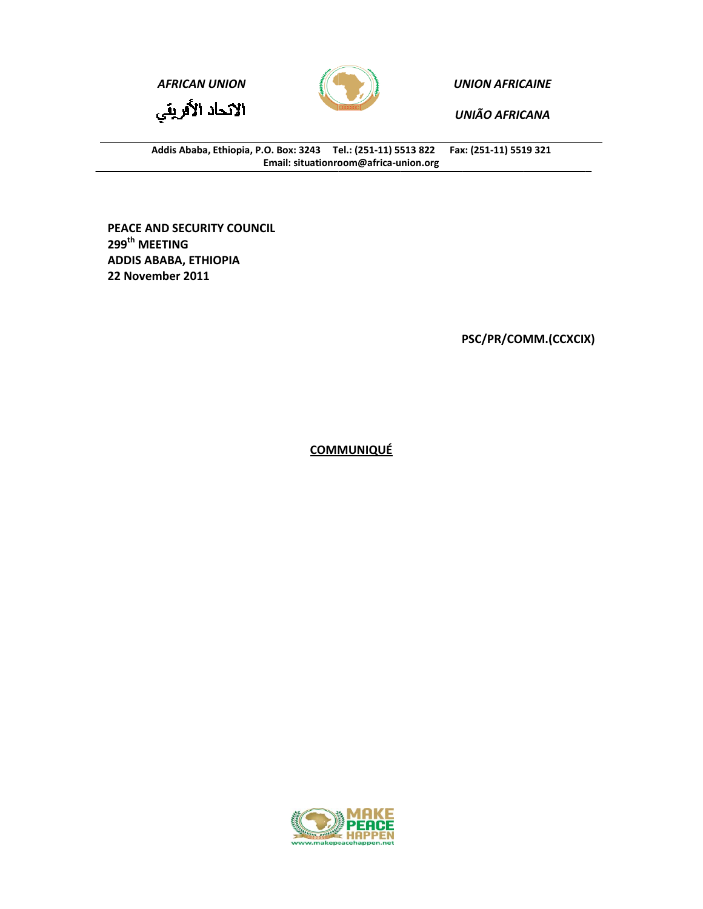

**UNION AFRICAINE** 

**UNIÃO AFRICANA** 

Fax: (251-11) 5519 321 Addis Ababa, Ethiopia, P.O. Box: 3243 Tel.: (251-11) 5513 822 Email: situationroom@africa-union.org

PEACE AND SECURITY COUNCIL 299<sup>th</sup> MEETING **ADDIS ABABA, ETHIOPIA** 22 November 2011

**AFRICAN UNION** 

الاتحاد الأفريقي

PSC/PR/COMM.(CCXCIX)

**COMMUNIQUÉ** 

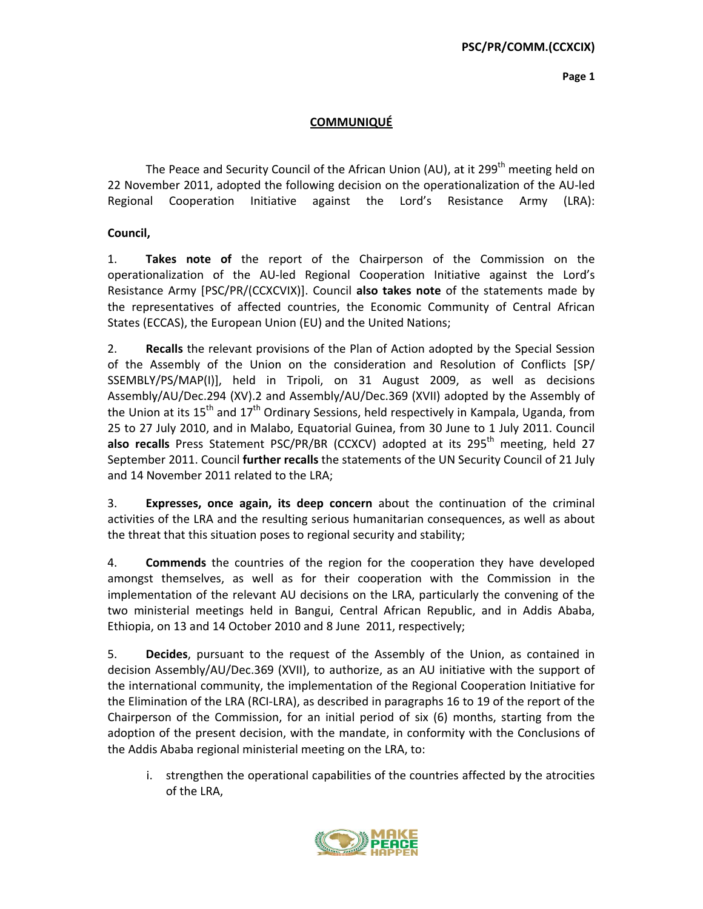Page 1

## **COMMUNIQUÉ**

The Peace and Security Council of the African Union (AU), at it 299<sup>th</sup> meeting held on 22 November 2011, adopted the following decision on the operationalization of the AU-led Regional Cooperation Initiative against the Lord's Resistance Army (LRA):

Council,

Takes note of the report of the Chairperson of the Commission on the 1. operationalization of the AU-led Regional Cooperation Initiative against the Lord's Resistance Army [PSC/PR/(CCXCVIX)]. Council also takes note of the statements made by the representatives of affected countries, the Economic Community of Central African States (ECCAS), the European Union (EU) and the United Nations;

 $2.$ **Recalls** the relevant provisions of the Plan of Action adopted by the Special Session of the Assembly of the Union on the consideration and Resolution of Conflicts [SP/ SSEMBLY/PS/MAP(I)], held in Tripoli, on 31 August 2009, as well as decisions Assembly/AU/Dec.294 (XV).2 and Assembly/AU/Dec.369 (XVII) adopted by the Assembly of the Union at its  $15<sup>th</sup>$  and  $17<sup>th</sup>$  Ordinary Sessions, held respectively in Kampala, Uganda, from 25 to 27 July 2010, and in Malabo, Equatorial Guinea, from 30 June to 1 July 2011. Council also recalls Press Statement PSC/PR/BR (CCXCV) adopted at its 295<sup>th</sup> meeting, held 27 September 2011. Council further recalls the statements of the UN Security Council of 21 July and 14 November 2011 related to the LRA:

3. Expresses, once again, its deep concern about the continuation of the criminal activities of the LRA and the resulting serious humanitarian consequences, as well as about the threat that this situation poses to regional security and stability;

4. **Commends** the countries of the region for the cooperation they have developed amongst themselves, as well as for their cooperation with the Commission in the implementation of the relevant AU decisions on the LRA, particularly the convening of the two ministerial meetings held in Bangui, Central African Republic, and in Addis Ababa, Ethiopia, on 13 and 14 October 2010 and 8 June 2011, respectively;

5. **Decides**, pursuant to the request of the Assembly of the Union, as contained in decision Assembly/AU/Dec.369 (XVII), to authorize, as an AU initiative with the support of the international community, the implementation of the Regional Cooperation Initiative for the Elimination of the LRA (RCI-LRA), as described in paragraphs 16 to 19 of the report of the Chairperson of the Commission, for an initial period of six (6) months, starting from the adoption of the present decision, with the mandate, in conformity with the Conclusions of the Addis Ababa regional ministerial meeting on the LRA, to:

i. strengthen the operational capabilities of the countries affected by the atrocities of the LRA,

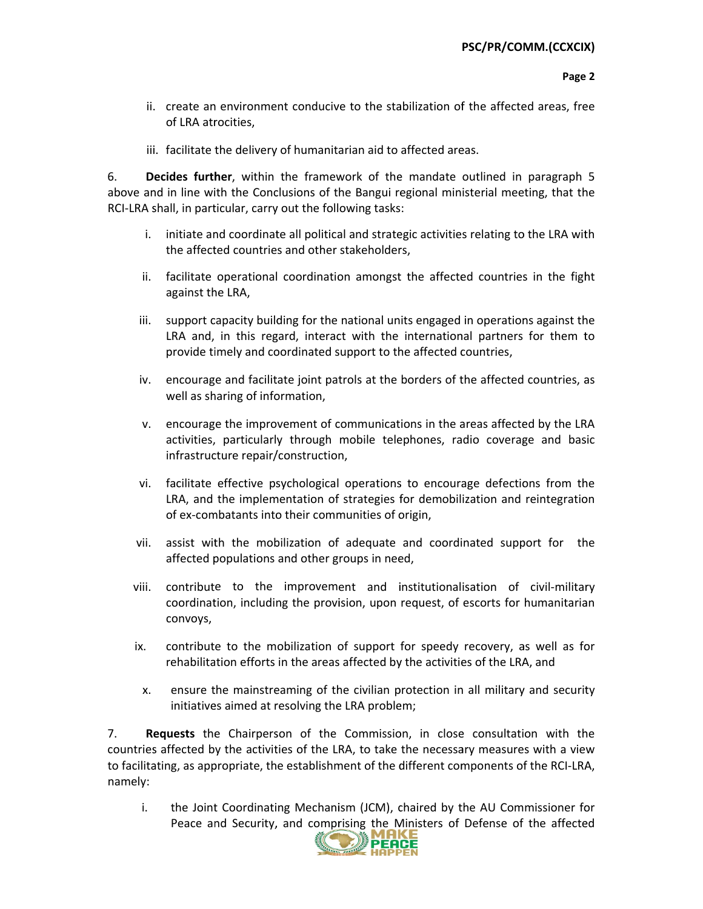- ii. create an environment conducive to the stabilization of the affected areas, free of LRA atrocities,
- iii. facilitate the delivery of humanitarian aid to affected areas.

6. Decides further, within the framework of the mandate outlined in paragraph 5 above and in line with the Conclusions of the Bangui regional ministerial meeting, that the RCI-LRA shall, in particular, carry out the following tasks:

- initiate and coordinate all political and strategic activities relating to the LRA with i. the affected countries and other stakeholders,
- ii. facilitate operational coordination amongst the affected countries in the fight against the LRA,
- iii. support capacity building for the national units engaged in operations against the LRA and, in this regard, interact with the international partners for them to provide timely and coordinated support to the affected countries,
- iv. encourage and facilitate joint patrols at the borders of the affected countries, as well as sharing of information,
- v. encourage the improvement of communications in the areas affected by the LRA activities, particularly through mobile telephones, radio coverage and basic infrastructure repair/construction,
- facilitate effective psychological operations to encourage defections from the vi. LRA, and the implementation of strategies for demobilization and reintegration of ex-combatants into their communities of origin,
- vii. assist with the mobilization of adequate and coordinated support for the affected populations and other groups in need,
- viii. contribute to the improvement and institutionalisation of civil-military coordination, including the provision, upon request, of escorts for humanitarian convoys,
- contribute to the mobilization of support for speedy recovery, as well as for ix. rehabilitation efforts in the areas affected by the activities of the LRA, and
	- ensure the mainstreaming of the civilian protection in all military and security  $X_{\cdot}$ initiatives aimed at resolving the LRA problem;

 $7<sub>1</sub>$ Requests the Chairperson of the Commission, in close consultation with the countries affected by the activities of the LRA, to take the necessary measures with a view to facilitating, as appropriate, the establishment of the different components of the RCI-LRA, namely:

the Joint Coordinating Mechanism (JCM), chaired by the AU Commissioner for i. Peace and Security, and comprising the Ministers of Defense of the affected